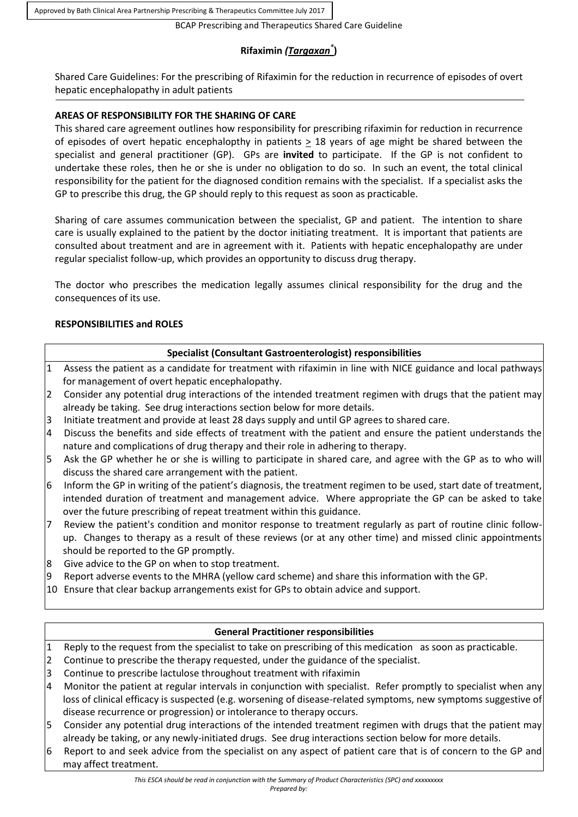Approved by Bath Clinical Area Partnership Prescribing & Therapeutics Committee July 2017

BCAP Prescribing and Therapeutics Shared Care Guideline

# **Rifaximin** *(Targaxan®* **)**

Shared Care Guidelines: For the prescribing of Rifaximin for the reduction in recurrence of episodes of overt hepatic encephalopathy in adult patients

# **AREAS OF RESPONSIBILITY FOR THE SHARING OF CARE**

This shared care agreement outlines how responsibility for prescribing rifaximin for reduction in recurrence of episodes of overt hepatic encephalopthy in patients  $\geq$  18 years of age might be shared between the specialist and general practitioner (GP). GPs are **invited** to participate. If the GP is not confident to undertake these roles, then he or she is under no obligation to do so. In such an event, the total clinical responsibility for the patient for the diagnosed condition remains with the specialist. If a specialist asks the GP to prescribe this drug, the GP should reply to this request as soon as practicable.

Sharing of care assumes communication between the specialist, GP and patient. The intention to share care is usually explained to the patient by the doctor initiating treatment. It is important that patients are consulted about treatment and are in agreement with it. Patients with hepatic encephalopathy are under regular specialist follow-up, which provides an opportunity to discuss drug therapy.

The doctor who prescribes the medication legally assumes clinical responsibility for the drug and the consequences of its use.

# **RESPONSIBILITIES and ROLES**

## **Specialist (Consultant Gastroenterologist) responsibilities**

- 1 Assess the patient as a candidate for treatment with rifaximin in line with NICE guidance and local pathways for management of overt hepatic encephalopathy.
- 2 Consider any potential drug interactions of the intended treatment regimen with drugs that the patient may already be taking. See drug interactions section below for more details.
- 3 Initiate treatment and provide at least 28 days supply and until GP agrees to shared care.
- 4 Discuss the benefits and side effects of treatment with the patient and ensure the patient understands the nature and complications of drug therapy and their role in adhering to therapy.
- 5 Ask the GP whether he or she is willing to participate in shared care, and agree with the GP as to who will discuss the shared care arrangement with the patient.
- 6 Inform the GP in writing of the patient's diagnosis, the treatment regimen to be used, start date of treatment, intended duration of treatment and management advice. Where appropriate the GP can be asked to take over the future prescribing of repeat treatment within this guidance.
- 7 Review the patient's condition and monitor response to treatment regularly as part of routine clinic followup. Changes to therapy as a result of these reviews (or at any other time) and missed clinic appointments should be reported to the GP promptly.
- 8 Give advice to the GP on when to stop treatment.
- 9 Report adverse events to the MHRA (yellow card scheme) and share this information with the GP.
- 10 Ensure that clear backup arrangements exist for GPs to obtain advice and support.

# **General Practitioner responsibilities**

- 1 Reply to the request from the specialist to take on prescribing of this medication as soon as practicable.
- 2 Continue to prescribe the therapy requested, under the guidance of the specialist.
- 3 Continue to prescribe lactulose throughout treatment with rifaximin
- 4 Monitor the patient at regular intervals in conjunction with specialist. Refer promptly to specialist when any loss of clinical efficacy is suspected (e.g. worsening of disease-related symptoms, new symptoms suggestive of disease recurrence or progression) or intolerance to therapy occurs.
- 5 Consider any potential drug interactions of the intended treatment regimen with drugs that the patient may already be taking, or any newly-initiated drugs. See drug interactions section below for more details.
- 6 Report to and seek advice from the specialist on any aspect of patient care that is of concern to the GP and may affect treatment.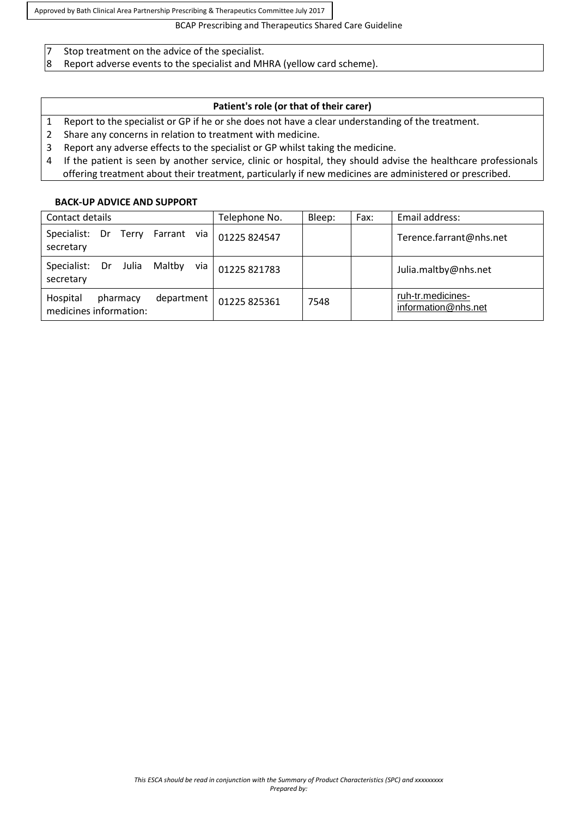Approved by Bath Clinical Area Partnership Prescribing & Therapeutics Committee July 2017

#### BCAP Prescribing and Therapeutics Shared Care Guideline

- 7 Stop treatment on the advice of the specialist.
- 8 Report adverse events to the specialist and MHRA (yellow card scheme).

## **Patient's role (or that of their carer)**

- 1 Report to the specialist or GP if he or she does not have a clear understanding of the treatment.
- 2 Share any concerns in relation to treatment with medicine.
- 3 Report any adverse effects to the specialist or GP whilst taking the medicine.
- 4 If the patient is seen by another service, clinic or hospital, they should advise the healthcare professionals offering treatment about their treatment, particularly if new medicines are administered or prescribed.

#### **BACK-UP ADVICE AND SUPPORT**

| Contact details                                              | Telephone No. | Bleep: | Fax: | Email address:                           |
|--------------------------------------------------------------|---------------|--------|------|------------------------------------------|
| Farrant via<br>Specialist:<br>Dr Terry<br>secretary          | 01225 824547  |        |      | Terence.farrant@nhs.net                  |
| Maltby<br>Specialist:<br>Julia<br>Dr<br>via<br>secretary     | 01225 821783  |        |      | Julia.maltby@nhs.net                     |
| Hospital<br>department<br>pharmacy<br>medicines information: | 01225 825361  | 7548   |      | ruh-tr.medicines-<br>information@nhs.net |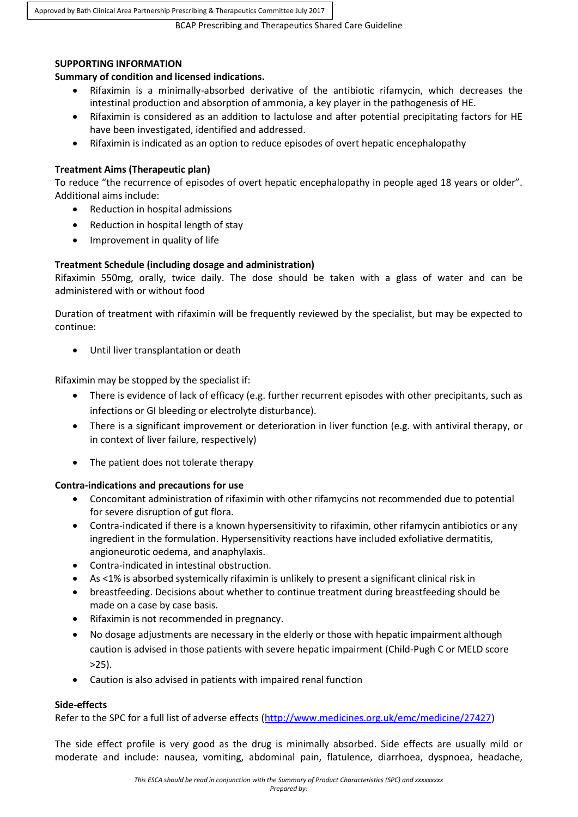Approved by Bath Clinical Area Partnership Prescribing & Therapeutics Committee July 2017

BCAP Prescribing and Therapeutics Shared Care Guideline

#### **SUPPORTING INFORMATION**

## **Summary of condition and licensed indications.**

- Rifaximin is a minimally-absorbed derivative of the antibiotic rifamycin, which decreases the intestinal production and absorption of ammonia, a key player in the pathogenesis of HE.
- Rifaximin is considered as an addition to lactulose and after potential precipitating factors for HE have been investigated, identified and addressed.
- Rifaximin is indicated as an option to reduce episodes of overt hepatic encephalopathy

## **Treatment Aims (Therapeutic plan)**

To reduce "the recurrence of episodes of overt hepatic encephalopathy in people aged 18 years or older". Additional aims include:

- Reduction in hospital admissions
- Reduction in hospital length of stay
- Improvement in quality of life

## **Treatment Schedule (including dosage and administration)**

Rifaximin 550mg, orally, twice daily. The dose should be taken with a glass of water and can be administered with or without food

Duration of treatment with rifaximin will be frequently reviewed by the specialist, but may be expected to continue:

Until liver transplantation or death

Rifaximin may be stopped by the specialist if:

- There is evidence of lack of efficacy (e.g. further recurrent episodes with other precipitants, such as infections or GI bleeding or electrolyte disturbance).
- There is a significant improvement or deterioration in liver function (e.g. with antiviral therapy, or in context of liver failure, respectively)
- The patient does not tolerate therapy

#### **Contra-indications and precautions for use**

- Concomitant administration of rifaximin with other rifamycins not recommended due to potential for severe disruption of gut flora.
- Contra-indicated if there is a known hypersensitivity to rifaximin, other rifamycin antibiotics or any ingredient in the formulation. Hypersensitivity reactions have included exfoliative dermatitis, angioneurotic oedema, and anaphylaxis.
- Contra-indicated in intestinal obstruction.
- As <1% is absorbed systemically rifaximin is unlikely to present a significant clinical risk in
- breastfeeding. Decisions about whether to continue treatment during breastfeeding should be made on a case by case basis.
- Rifaximin is not recommended in pregnancy.
- No dosage adjustments are necessary in the elderly or those with hepatic impairment although caution is advised in those patients with severe hepatic impairment (Child-Pugh C or MELD score  $>25$ ).
- Caution is also advised in patients with impaired renal function

#### **Side-effects**

Refer to the SPC for a full list of adverse effects [\(http://www.medicines.org.uk/emc/medicine/27427\)](http://www.medicines.org.uk/emc/medicine/27427)

The side effect profile is very good as the drug is minimally absorbed. Side effects are usually mild or moderate and include: nausea, vomiting, abdominal pain, flatulence, diarrhoea, dyspnoea, headache,